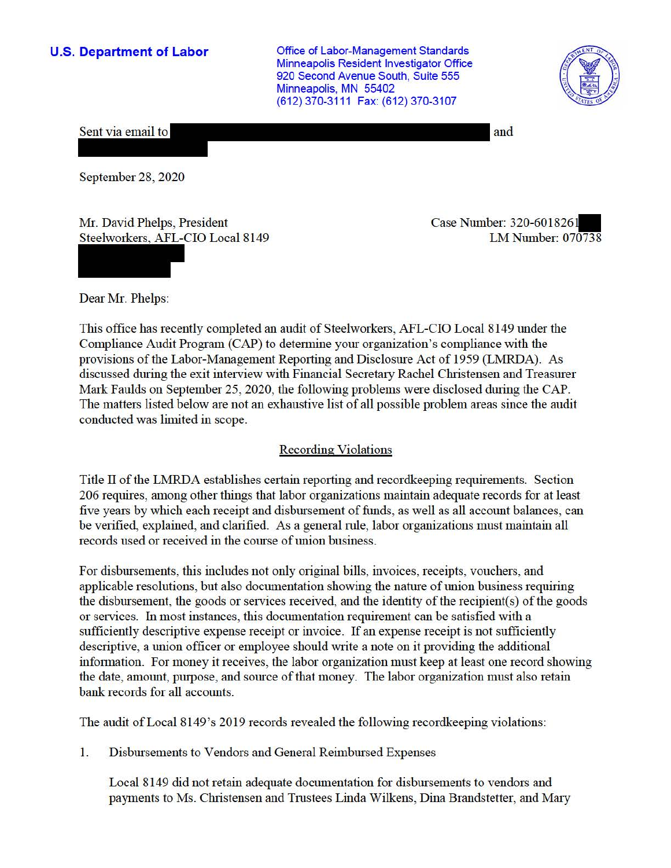**U.S. Department of Labor Conservative Conservation Conservative Conservation Conservation Conservation** Minneapolis Resident Investigator Office 920 Second Avenue South, Suite 555 Minneapolis, MN 55402 (612) 370-3111 Fax: (612) 370-3107



Sent via email to

and

September 28, 2020

Mr. David Phelps, President Steelworkers, AFL-CIO Local 8149 Case Number: 320-601826- LM Number: 070738

Dear Mr. Phelps:

This office has recently completed an audit of Steelworkers, AFL-CIO Local 8149 under the Compliance Audit Program (CAP) to detennine your organization's compliance with the provisions of the Labor-Management Reporting and Disclosure Act of 1959 (LMRDA). As discussed during the exit interview with Financial Secretary Rachel Christensen and Treasurer Mark Faulds on September 25, 2020, the following problems were disclosed during the CAP. The matters listed below are not an exhaustive list of all possible problem areas since the audit conducted was limited in scope.

## Recording Violations

Title II of the LMRDA establishes certain reporting and record keeping requirements. Section 206 requires, among other things that labor organizations maintain adequate records for at least five years by which each receipt and disbursement of funds, as well as all account balances, can be verified, explained, and clarified. As a general rule, labor organizations must maintain all records used or received in the course of union business.

For disbursements, this includes not only original bills, invoices, receipts, vouchers, and applicable resolutions, but also documentation showing the nature of union business requiring the disbursement, the goods or services received, and the identity of the recipient(s) of the goods or services. In most instances, this documentation requirement can be satisfied with a sufficiently descriptive expense receipt or invoice. If an expense receipt is not sufficiently descriptive, a union officer or employee should write a note on it providing the additional information. For money it receives, the labor organization must keep at least one record showing the date, amount, purpose, and source of that money. The labor organization must also retain bank records for all accounts.

The audit of Local 8149's 2019 records revealed the following record keeping violations:

1. Disbursements to Vendors and General Reimbursed Expenses

Local 8149 did not retain adequate documentation for disbursements to vendors and payments to Ms. Christensen and Trustees Linda Wilkens, Dina Brandstetter, and Mary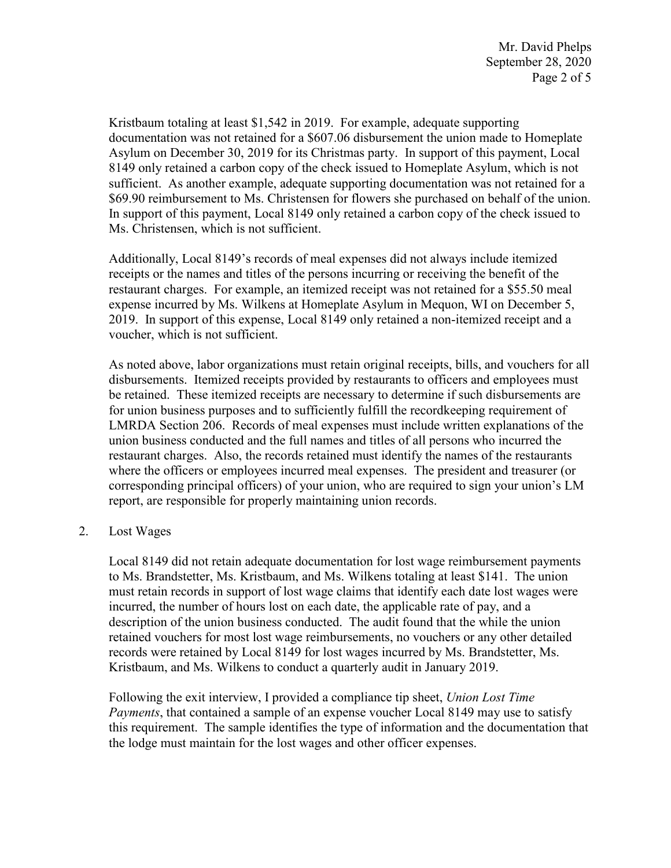Kristbaum totaling at least \$1,542 in 2019. For example, adequate supporting documentation was not retained for a \$607.06 disbursement the union made to Homeplate Asylum on December 30, 2019 for its Christmas party. In support of this payment, Local 8149 only retained a carbon copy of the check issued to Homeplate Asylum, which is not sufficient. As another example, adequate supporting documentation was not retained for a \$69.90 reimbursement to Ms. Christensen for flowers she purchased on behalf of the union. In support of this payment, Local 8149 only retained a carbon copy of the check issued to Ms. Christensen, which is not sufficient.

 restaurant charges. For example, an itemized receipt was not retained for a \$55.50 meal Additionally, Local 8149's records of meal expenses did not always include itemized receipts or the names and titles of the persons incurring or receiving the benefit of the expense incurred by Ms. Wilkens at Homeplate Asylum in Mequon, WI on December 5, 2019. In support of this expense, Local 8149 only retained a non-itemized receipt and a voucher, which is not sufficient.

 be retained. These itemized receipts are necessary to determine if such disbursements are corresponding principal officers) of your union, who are required to sign your union's LM As noted above, labor organizations must retain original receipts, bills, and vouchers for all disbursements. Itemized receipts provided by restaurants to officers and employees must for union business purposes and to sufficiently fulfill the recordkeeping requirement of LMRDA Section 206. Records of meal expenses must include written explanations of the union business conducted and the full names and titles of all persons who incurred the restaurant charges. Also, the records retained must identify the names of the restaurants where the officers or employees incurred meal expenses. The president and treasurer (or report, are responsible for properly maintaining union records.

2. Lost Wages

Local 8149 did not retain adequate documentation for lost wage reimbursement payments to Ms. Brandstetter, Ms. Kristbaum, and Ms. Wilkens totaling at least \$141. The union must retain records in support of lost wage claims that identify each date lost wages were incurred, the number of hours lost on each date, the applicable rate of pay, and a description of the union business conducted. The audit found that the while the union retained vouchers for most lost wage reimbursements, no vouchers or any other detailed records were retained by Local 8149 for lost wages incurred by Ms. Brandstetter, Ms. Kristbaum, and Ms. Wilkens to conduct a quarterly audit in January 2019.

Following the exit interview, I provided a compliance tip sheet, *Union Lost Time Payments*, that contained a sample of an expense voucher Local 8149 may use to satisfy this requirement. The sample identifies the type of information and the documentation that the lodge must maintain for the lost wages and other officer expenses.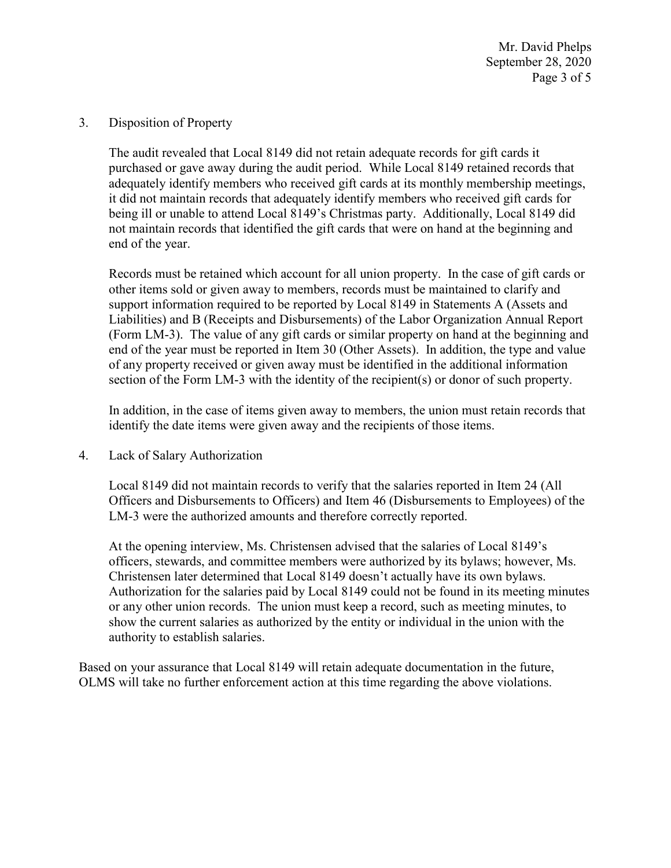Mr. David Phelps September 28, 2020 Page 3 of 5

3. Disposition of Property

 The audit revealed that Local 8149 did not retain adequate records for gift cards it purchased or gave away during the audit period. While Local 8149 retained records that it did not maintain records that adequately identify members who received gift cards for end of the year. adequately identify members who received gift cards at its monthly membership meetings, being ill or unable to attend Local 8149's Christmas party. Additionally, Local 8149 did not maintain records that identified the gift cards that were on hand at the beginning and

 Records must be retained which account for all union property. In the case of gift cards or end of the year must be reported in Item 30 (Other Assets). In addition, the type and value other items sold or given away to members, records must be maintained to clarify and support information required to be reported by Local 8149 in Statements A (Assets and Liabilities) and B (Receipts and Disbursements) of the Labor Organization Annual Report (Form LM-3). The value of any gift cards or similar property on hand at the beginning and of any property received or given away must be identified in the additional information section of the Form LM-3 with the identity of the recipient(s) or donor of such property.

 identify the date items were given away and the recipients of those items. In addition, in the case of items given away to members, the union must retain records that

4. Lack of Salary Authorization

 Officers and Disbursements to Officers) and Item 46 (Disbursements to Employees) of the LM-3 were the authorized amounts and therefore correctly reported. Local 8149 did not maintain records to verify that the salaries reported in Item 24 (All

At the opening interview, Ms. Christensen advised that the salaries of Local 8149's officers, stewards, and committee members were authorized by its bylaws; however, Ms. Christensen later determined that Local 8149 doesn't actually have its own bylaws. Authorization for the salaries paid by Local 8149 could not be found in its meeting minutes or any other union records. The union must keep a record, such as meeting minutes, to show the current salaries as authorized by the entity or individual in the union with the authority to establish salaries.

 Based on your assurance that Local 8149 will retain adequate documentation in the future, OLMS will take no further enforcement action at this time regarding the above violations.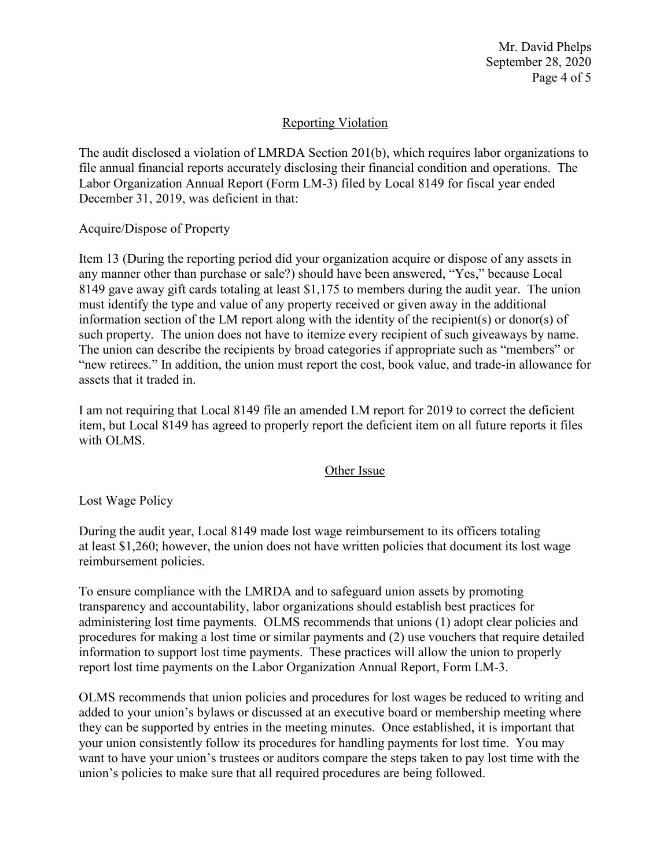Mr. David Phelps September 28, 2020 Page 4 of 5

## Reporting Violation

 Labor Organization Annual Report (Form LM-3) filed by Local 8149 for fiscal year ended The audit disclosed a violation of LMRDA Section 201(b), which requires labor organizations to file annual financial reports accurately disclosing their financial condition and operations. The December 31, 2019, was deficient in that:

Acquire/Dispose of Property

 information section of the LM report along with the identity of the recipient(s) or donor(s) of Item 13 (During the reporting period did your organization acquire or dispose of any assets in any manner other than purchase or sale?) should have been answered, "Yes," because Local 8149 gave away gift cards totaling at least \$1,175 to members during the audit year. The union must identify the type and value of any property received or given away in the additional such property. The union does not have to itemize every recipient of such giveaways by name. The union can describe the recipients by broad categories if appropriate such as "members" or "new retirees." In addition, the union must report the cost, book value, and trade-in allowance for assets that it traded in.

I am not requiring that Local 8149 file an amended LM report for 2019 to correct the deficient item, but Local 8149 has agreed to properly report the deficient item on all future reports it files with OLMS.

## Other Issue

Lost Wage Policy

During the audit year, Local 8149 made lost wage reimbursement to its officers totaling at least \$1,260; however, the union does not have written policies that document its lost wage reimbursement policies.

 To ensure compliance with the LMRDA and to safeguard union assets by promoting transparency and accountability, labor organizations should establish best practices for administering lost time payments. OLMS recommends that unions (1) adopt clear policies and procedures for making a lost time or similar payments and (2) use vouchers that require detailed information to support lost time payments. These practices will allow the union to properly report lost time payments on the Labor Organization Annual Report, Form LM-3.

OLMS recommends that union policies and procedures for lost wages be reduced to writing and added to your union's bylaws or discussed at an executive board or membership meeting where they can be supported by entries in the meeting minutes. Once established, it is important that your union consistently follow its procedures for handling payments for lost time. You may want to have your union's trustees or auditors compare the steps taken to pay lost time with the union's policies to make sure that all required procedures are being followed.